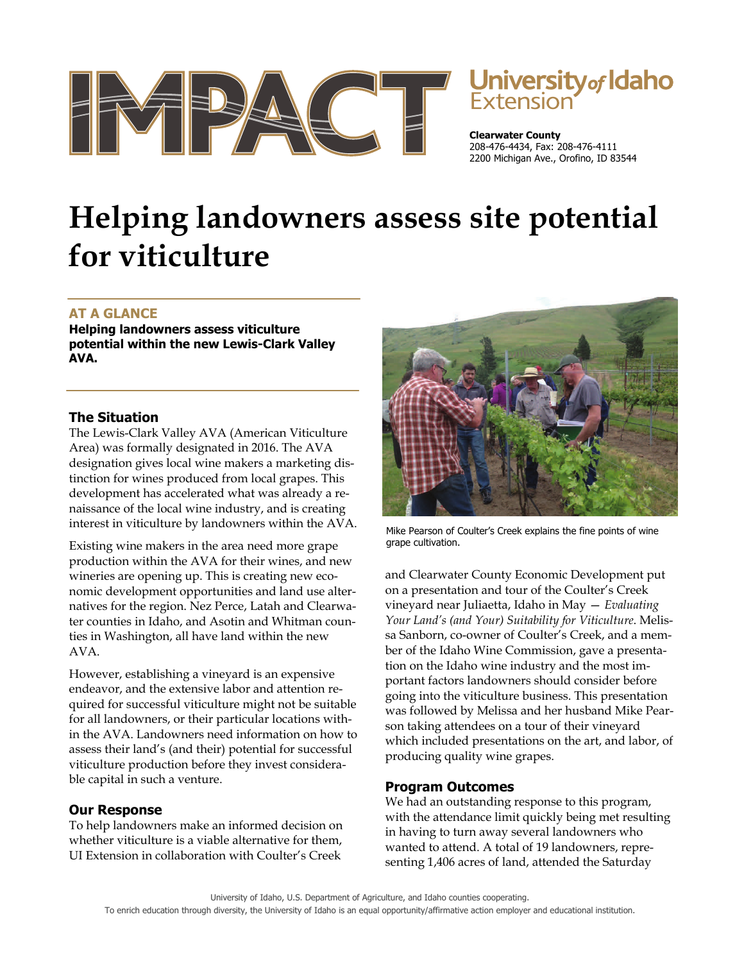

# **University of Idaho**

**Clearwater County**  208-476-4434, Fax: 208-476-4111 2200 Michigan Ave., Orofino, ID 83544

## **Helping landowners assess site potential for viticulture**

### **AT A GLANCE**

**Helping landowners assess viticulture potential within the new Lewis-Clark Valley AVA.** 

#### **The Situation**

The Lewis-Clark Valley AVA (American Viticulture Area) was formally designated in 2016. The AVA designation gives local wine makers a marketing distinction for wines produced from local grapes. This development has accelerated what was already a renaissance of the local wine industry, and is creating interest in viticulture by landowners within the AVA.

Existing wine makers in the area need more grape production within the AVA for their wines, and new wineries are opening up. This is creating new economic development opportunities and land use alternatives for the region. Nez Perce, Latah and Clearwater counties in Idaho, and Asotin and Whitman counties in Washington, all have land within the new AVA.

However, establishing a vineyard is an expensive endeavor, and the extensive labor and attention required for successful viticulture might not be suitable for all landowners, or their particular locations within the AVA. Landowners need information on how to assess their land's (and their) potential for successful viticulture production before they invest considerable capital in such a venture.

#### **Our Response**

To help landowners make an informed decision on whether viticulture is a viable alternative for them, UI Extension in collaboration with Coulter's Creek



Mike Pearson of Coulter's Creek explains the fine points of wine grape cultivation.

and Clearwater County Economic Development put on a presentation and tour of the Coulter's Creek vineyard near Juliaetta, Idaho in May — *Evaluating Your Land's (and Your) Suitability for Viticulture*. Melissa Sanborn, co-owner of Coulter's Creek, and a member of the Idaho Wine Commission, gave a presentation on the Idaho wine industry and the most important factors landowners should consider before going into the viticulture business. This presentation was followed by Melissa and her husband Mike Pearson taking attendees on a tour of their vineyard which included presentations on the art, and labor, of producing quality wine grapes.

#### **Program Outcomes**

We had an outstanding response to this program, with the attendance limit quickly being met resulting in having to turn away several landowners who wanted to attend. A total of 19 landowners, representing 1,406 acres of land, attended the Saturday